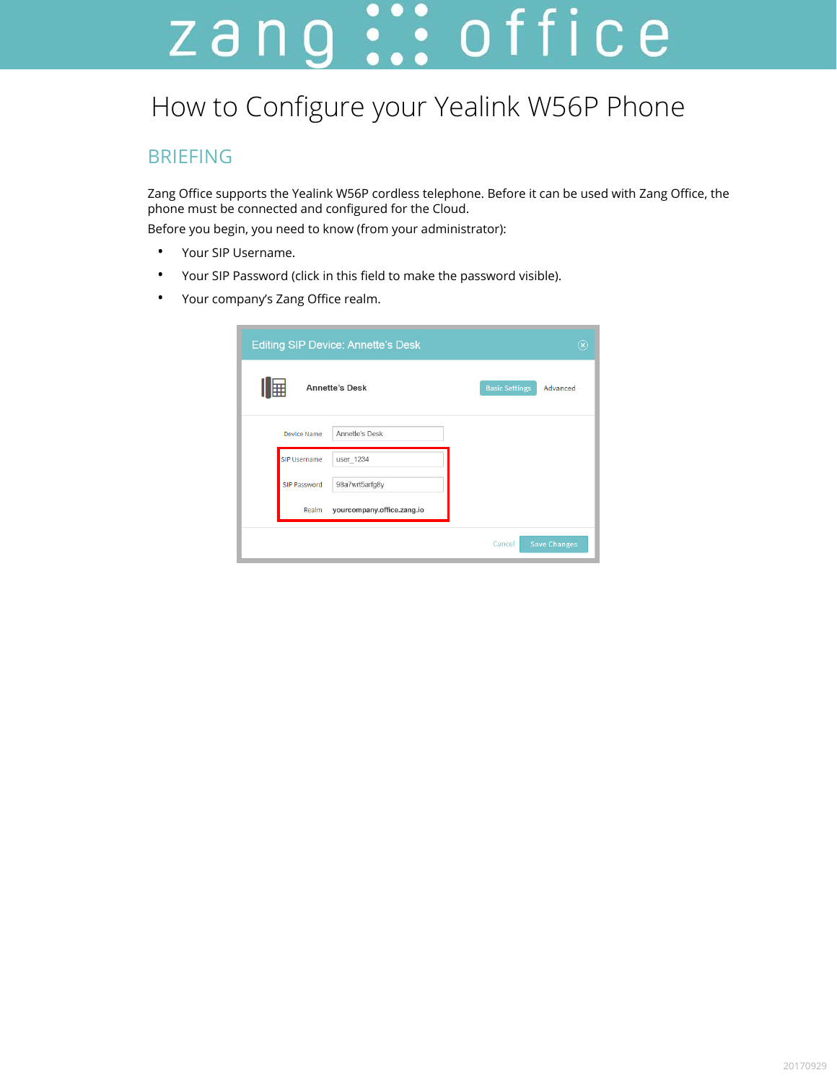# zang ::: office

# How to Configure your Yealink W56P Phone

### BRIEFING

Zang Office supports the Yealink W56P cordless telephone. Before it can be used with Zang Office, the phone must be connected and configured for the Cloud.

Before you begin, you need to know (from your administrator):

- Your SIP Username.
- Your SIP Password (click in this field to make the password visible).
- Your company's Zang Office realm.

| <b>Editing SIP Device: Annette's Desk</b> |                            |                       | $(\widehat{\mathsf{x}})$ |
|-------------------------------------------|----------------------------|-----------------------|--------------------------|
| 囲<br><b>Annette's Desk</b>                |                            | <b>Basic Settings</b> | Advanced                 |
| Device Name                               | Annette's Desk             |                       |                          |
| <b>SIP Username</b>                       | user 1234                  |                       |                          |
| SIP Password                              | 98a7wrt5arfg8y             |                       |                          |
| Realm                                     | yourcompany.office.zang.io |                       |                          |
|                                           |                            | Cancel                | <b>Save Changes</b>      |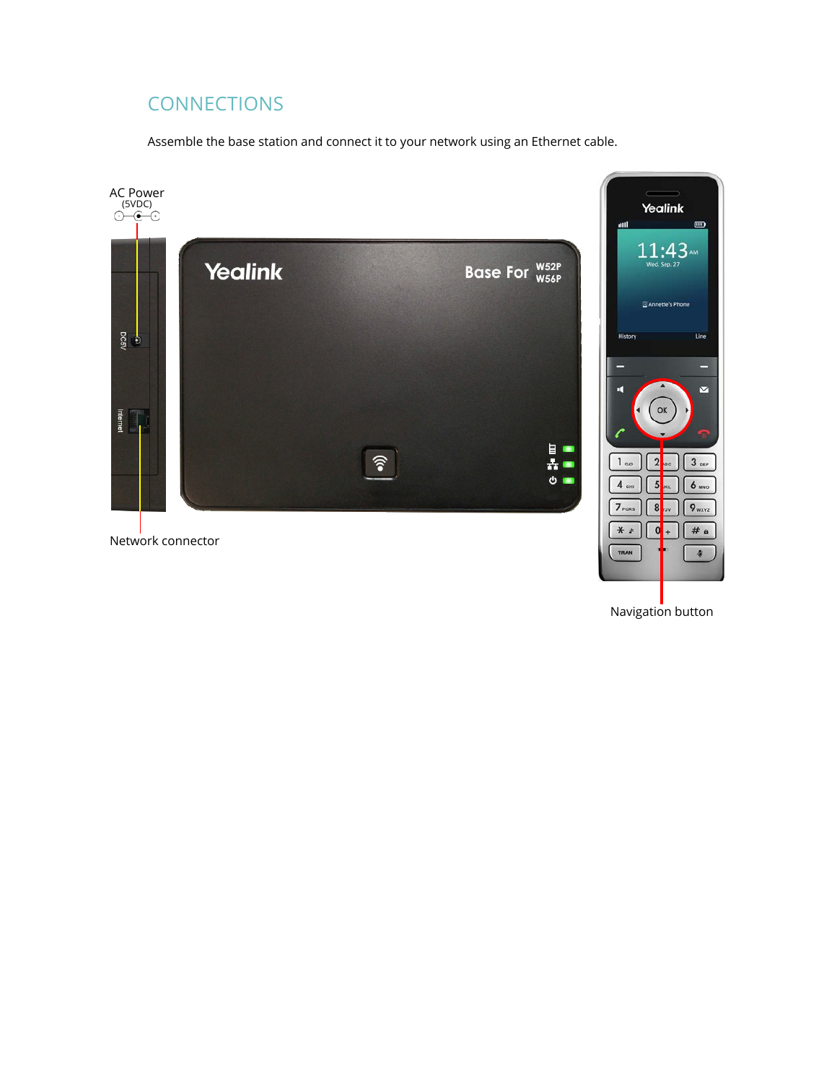## **CONNECTIONS**

Assemble the base station and connect it to your network using an Ethernet cable.



Navigation button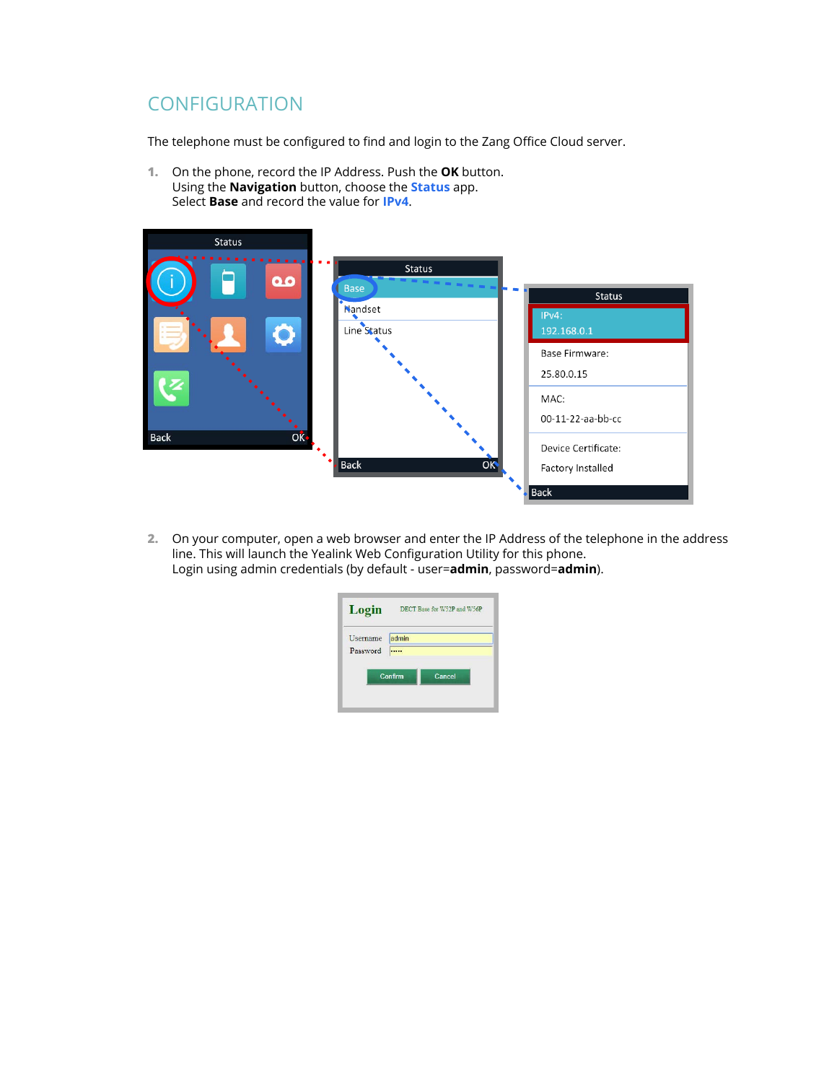## **CONFIGURATION**

The telephone must be configured to find and login to the Zang Office Cloud server.

**1.** On the phone, record the IP Address. Push the **OK** button. Using the **Navigation** button, choose the **Status** app. Select **Base** and record the value for **IPv4**.



**2.** On your computer, open a web browser and enter the IP Address of the telephone in the address line. This will launch the Yealink Web Configuration Utility for this phone. Login using admin credentials (by default - user=**admin**, password=**admin**).

| Login    | DECT Base for W52P and W56P |  |  |
|----------|-----------------------------|--|--|
| Username | admin                       |  |  |
| Password |                             |  |  |
|          | Confirm<br>Cancel           |  |  |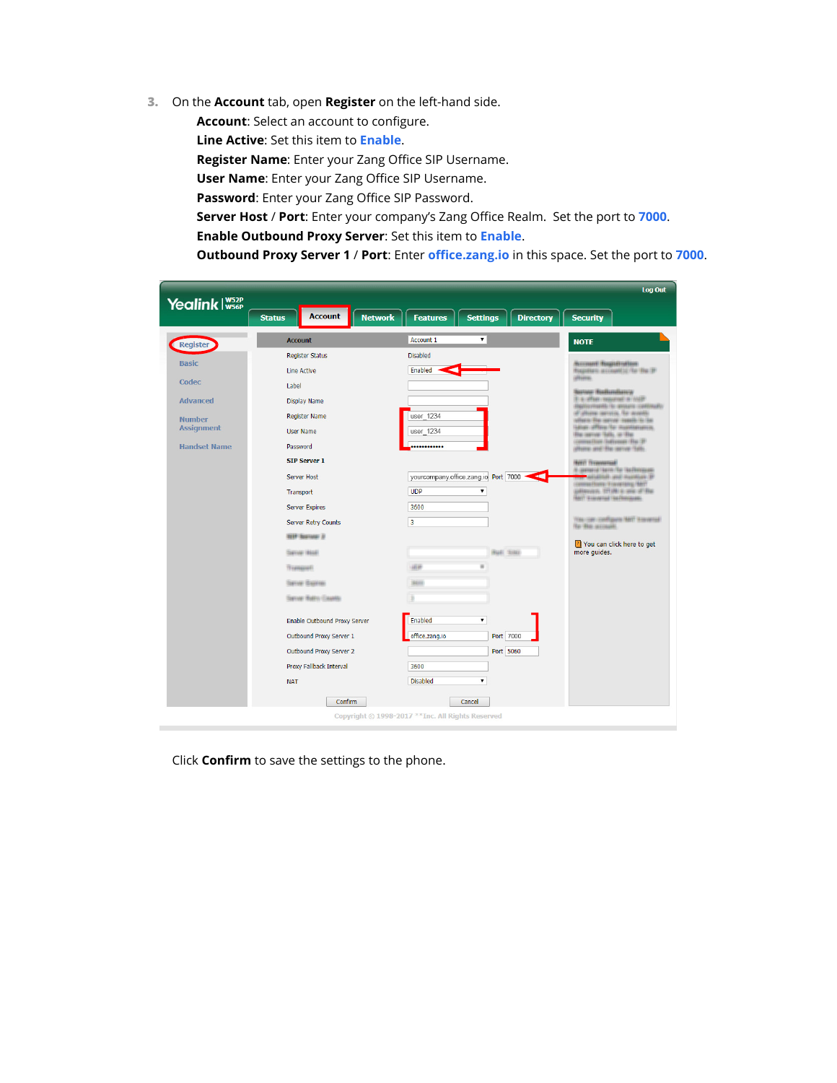**3.** On the **Account** tab, open **Register** on the left-hand side.

**Account**: Select an account to configure.

**Line Active**: Set this item to **Enable**.

**Register Name**: Enter your Zang Office SIP Username.

**User Name**: Enter your Zang Office SIP Username.

**Password**: Enter your Zang Office SIP Password.

**Server Host** / **Port**: Enter your company's Zang Office Realm. Set the port to **7000**.

**Enable Outbound Proxy Server**: Set this item to **Enable**.

**Outbound Proxy Server 1** / **Port**: Enter **office.zang.io** in this space. Set the port to **7000**.

|                     |                                                   |                                                              | Log Out                                                                                                     |
|---------------------|---------------------------------------------------|--------------------------------------------------------------|-------------------------------------------------------------------------------------------------------------|
| Yealink W52P        |                                                   |                                                              |                                                                                                             |
|                     | <b>Account</b><br><b>Network</b><br><b>Status</b> | <b>Features</b><br><b>Settings</b><br><b>Directory</b>       | <b>Security</b>                                                                                             |
| Register            | <b>Account</b>                                    | Account 1<br>۰.                                              | <b>NOTE</b>                                                                                                 |
| <b>Basic</b>        | <b>Register Status</b>                            | <b>Disabled</b>                                              | <b>WILLIAMS REQUESTIONS</b>                                                                                 |
|                     | <b>Line Active</b>                                | Enabled                                                      | <b>Registeri: account(c) for the 31</b><br><b>URLERS</b>                                                    |
| Codec               | Label                                             |                                                              | <b>Testore Hediundiancy</b>                                                                                 |
| <b>Advanced</b>     | <b>Display Name</b>                               |                                                              | \$14.45MIN moderner in most<br><b>Ballionario lo ansoco continuiti</b>                                      |
| <b>Number</b>       | <b>Register Name</b>                              | user 1234                                                    | of allowed service, the systems<br>alliers the server meets to be                                           |
| <b>Assignment</b>   | <b>User Name</b>                                  | user 1234                                                    | Line: Affine for manitenance.<br>Bacanya Silli, or Bar                                                      |
| <b>Handset Name</b> | Password                                          |                                                              | commether (believes) (Be (B)<br>allower and the server fully.                                               |
|                     | <b>SIP Server 1</b>                               |                                                              | <b>NEET TENNISSEE</b>                                                                                       |
|                     | <b>Server Host</b>                                | yourcompany.office.zang.io Port 7000<br>$\blacktriangleleft$ | V-Jamesid Serik/Ro Violikinisse<br>ANTIGEREZH (ANN) HASSERLIN (27)<br>Common Chapter / Economistics, 198777 |
|                     | Transport                                         | <b>UDP</b><br>۷.                                             | prisoners (11th) is one of the<br>HAVY GUANARIZED SALEMANIARES                                              |
|                     | <b>Server Expires</b>                             | 3600                                                         |                                                                                                             |
|                     | <b>Server Retry Counts</b>                        | 3                                                            | WALLAW CHRISTIAN MATT SHANKING<br>To the accuse.                                                            |
|                     | <b>SEP Barner 2</b>                               |                                                              | You can click here to get                                                                                   |
|                     | <b>THEFTHE VEHICLE</b>                            | Hall tons                                                    | more quides.                                                                                                |
|                     | Tompach                                           | <b>LESH</b>                                                  |                                                                                                             |
|                     | TOFFINE ISSUEDS:                                  | <b>Statistic</b>                                             |                                                                                                             |
|                     | Server Retty Caustic                              |                                                              |                                                                                                             |
|                     | <b>Enable Outbound Proxy Server</b>               | Enabled<br>۷.                                                |                                                                                                             |
|                     | Outbound Proxy Server 1                           | Port 7000<br>office.zang.io                                  |                                                                                                             |
|                     | <b>Outbound Proxy Server 2</b>                    | Port 5060                                                    |                                                                                                             |
|                     | Proxy Fallback Interval                           | 3600                                                         |                                                                                                             |
|                     | <b>NAT</b>                                        | <b>Disabled</b>                                              |                                                                                                             |
|                     |                                                   |                                                              |                                                                                                             |
|                     | Confirm                                           | Cancel                                                       |                                                                                                             |
|                     |                                                   | Copyright @ 1998-2017 ** Inc. All Rights Reserved            |                                                                                                             |

Click **Confirm** to save the settings to the phone.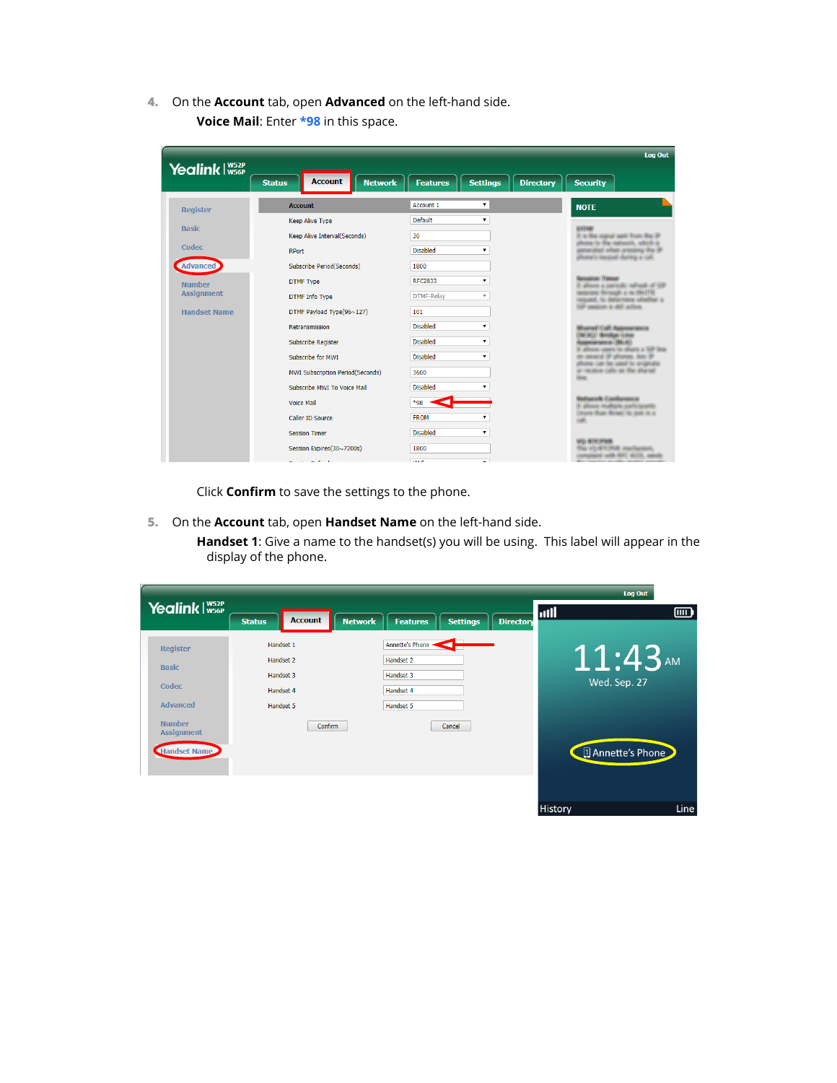**4.** On the **Account** tab, open **Advanced** on the left-hand side. **Voice Mail**: Enter **\*98** in this space.

| Yealink I W52P      |                                                                                                                                                                                                                                                                                                                                                                                                                              |                                                        | <b>Log Out</b>                                                                   |
|---------------------|------------------------------------------------------------------------------------------------------------------------------------------------------------------------------------------------------------------------------------------------------------------------------------------------------------------------------------------------------------------------------------------------------------------------------|--------------------------------------------------------|----------------------------------------------------------------------------------|
|                     | <b>Account</b><br><b>Network</b><br><b>Status</b>                                                                                                                                                                                                                                                                                                                                                                            | <b>Settinas</b><br><b>Directory</b><br><b>Features</b> | <b>Security</b>                                                                  |
| <b>Register</b>     | <b>Account</b>                                                                                                                                                                                                                                                                                                                                                                                                               | Account 1<br>۷.                                        | <b>NOTE</b>                                                                      |
|                     | <b>Keep Alive Type</b>                                                                                                                                                                                                                                                                                                                                                                                                       | Default<br>۷.                                          | <b>GYFRE</b>                                                                     |
|                     | Keep Alive Interval(Seconds)                                                                                                                                                                                                                                                                                                                                                                                                 | 30                                                     | 31-4-The Highst Leed Trust The 31                                                |
|                     | <b>RPort</b>                                                                                                                                                                                                                                                                                                                                                                                                                 | <b>Disabled</b>                                        | please its file registration, which its<br>percented after presing for it        |
|                     | <b>Subscribe Period(Seconds)</b>                                                                                                                                                                                                                                                                                                                                                                                             | 1800                                                   | <b>Johnson Links Resources</b>                                                   |
|                     | <b>DTMF Type</b>                                                                                                                                                                                                                                                                                                                                                                                                             | <b>REC2833</b><br>۰.                                   | alling a permit officer of the                                                   |
| <b>Assignment</b>   | <b>DTMF</b> Info Type                                                                                                                                                                                                                                                                                                                                                                                                        | <b>DTMF-Relay</b><br>$\overline{\mathbf{v}}$           | on Binaugh a no DNITY.<br>staunt, its internates shafter at                      |
| <b>Handset Name</b> | DTMF Payload Type(96~127)                                                                                                                                                                                                                                                                                                                                                                                                    | 101                                                    | TEP - annisher ( a - 440 - action).                                              |
|                     | Retransmission                                                                                                                                                                                                                                                                                                                                                                                                               | <b>Disabled</b><br>۷                                   | Burnet Call Appropriator                                                         |
|                     | <b>Subscribe Register</b>                                                                                                                                                                                                                                                                                                                                                                                                    | <b>Disabled</b><br>۰.                                  | <b>THE AFECTY INSTITUTES IN STAKE</b><br><b>ASSESSMENT (1981AU)</b>              |
|                     | Subscribe for MWT                                                                                                                                                                                                                                                                                                                                                                                                            | <b>Disabled</b><br>۷.                                  | A story is discuss 2021 line.<br>asserie St Ultimas, NAV 31                      |
|                     | <b>MWI Subscription Period(Seconds)</b>                                                                                                                                                                                                                                                                                                                                                                                      | 3600                                                   | NAME CAR ON ASSET OF STRANGE<br>ar recoited culti-an the disease<br><b>Since</b> |
|                     | Subscribe MWT To Voice Mail                                                                                                                                                                                                                                                                                                                                                                                                  | <b>Disabled</b>                                        |                                                                                  |
|                     | <b>Voice Mail</b>                                                                                                                                                                                                                                                                                                                                                                                                            | $*98$                                                  | <b>Bullworth Confluences</b><br>E attingi mallani zarhimaniki                    |
|                     | Caller ID Source                                                                                                                                                                                                                                                                                                                                                                                                             | <b>FROM</b><br>۰.                                      | Disposite River (Rivers), Go (ABR) Nicky                                         |
|                     | <b>Session Timer</b>                                                                                                                                                                                                                                                                                                                                                                                                         | <b>Disabled</b><br>۰.                                  |                                                                                  |
|                     | Session Expires(30~7200s)                                                                                                                                                                                                                                                                                                                                                                                                    | 1800                                                   | <b>MEI INTELIANEN</b><br>The VEHITCHER ResiNation.                               |
|                     | $\mathbf{a} = \mathbf{a} + \mathbf{a} + \mathbf{a} + \mathbf{a} + \mathbf{a} + \mathbf{a} + \mathbf{a} + \mathbf{a} + \mathbf{a} + \mathbf{a} + \mathbf{a} + \mathbf{a} + \mathbf{a} + \mathbf{a} + \mathbf{a} + \mathbf{a} + \mathbf{a} + \mathbf{a} + \mathbf{a} + \mathbf{a} + \mathbf{a} + \mathbf{a} + \mathbf{a} + \mathbf{a} + \mathbf{a} + \mathbf{a} + \mathbf{a} + \mathbf{a} + \mathbf{a} + \mathbf{a} + \mathbf$ | <b>TIAC</b>                                            | Mariana Jillian (1991-Mariana)                                                   |

Click **Confirm** to save the settings to the phone.

**5.** On the **Account** tab, open **Handset Name** on the left-hand side.

**Handset 1**: Give a name to the handset(s) you will be using. This label will appear in the display of the phone.

|                                    |                                     |                                     |                                     |         | Log Out           |
|------------------------------------|-------------------------------------|-------------------------------------|-------------------------------------|---------|-------------------|
| Yealink W52P                       | <b>Account</b><br><b>Status</b>     | <b>Network</b><br><b>Features</b>   | <b>Settings</b><br><b>Directory</b> | util    | $\overline{mn}$   |
| <b>Register</b><br><b>Basic</b>    | Handset 1<br>Handset 2              | Annette's Phone -<br>Handset 2      |                                     |         | $11:43$ AM        |
| Codec<br><b>Advanced</b>           | Handset 3<br>Handset 4<br>Handset 5 | Handset 3<br>Handset 4<br>Handset 5 |                                     |         | Wed. Sep. 27      |
| <b>Number</b><br><b>Assignment</b> | <b>Confirm</b>                      |                                     | Cancel                              |         |                   |
| Handset Name                       |                                     |                                     |                                     |         | 4 Annette's Phone |
|                                    |                                     |                                     |                                     | History | Line              |